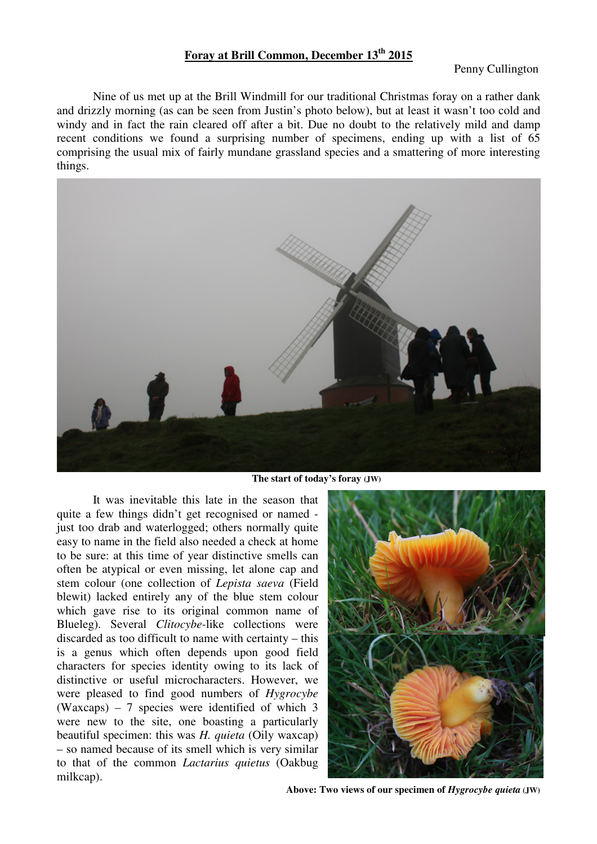## **Foray at Brill Common, December 13th 2015**

Penny Cullington

Nine of us met up at the Brill Windmill for our traditional Christmas foray on a rather dank and drizzly morning (as can be seen from Justin's photo below), but at least it wasn't too cold and windy and in fact the rain cleared off after a bit. Due no doubt to the relatively mild and damp recent conditions we found a surprising number of specimens, ending up with a list of 65 comprising the usual mix of fairly mundane grassland species and a smattering of more interesting things.



**The start of today's foray (JW)** 

It was inevitable this late in the season that quite a few things didn't get recognised or named just too drab and waterlogged; others normally quite easy to name in the field also needed a check at home to be sure: at this time of year distinctive smells can often be atypical or even missing, let alone cap and stem colour (one collection of *Lepista saeva* (Field blewit) lacked entirely any of the blue stem colour which gave rise to its original common name of Blueleg). Several *Clitocybe-*like collections were discarded as too difficult to name with certainty – this is a genus which often depends upon good field characters for species identity owing to its lack of distinctive or useful microcharacters. However, we were pleased to find good numbers of *Hygrocybe* (Waxcaps) – 7 species were identified of which 3 were new to the site, one boasting a particularly beautiful specimen: this was *H. quieta* (Oily waxcap) – so named because of its smell which is very similar to that of the common *Lactarius quietus* (Oakbug milkcap).



 **Above: Two views of our specimen of** *Hygrocybe quieta* **(JW)**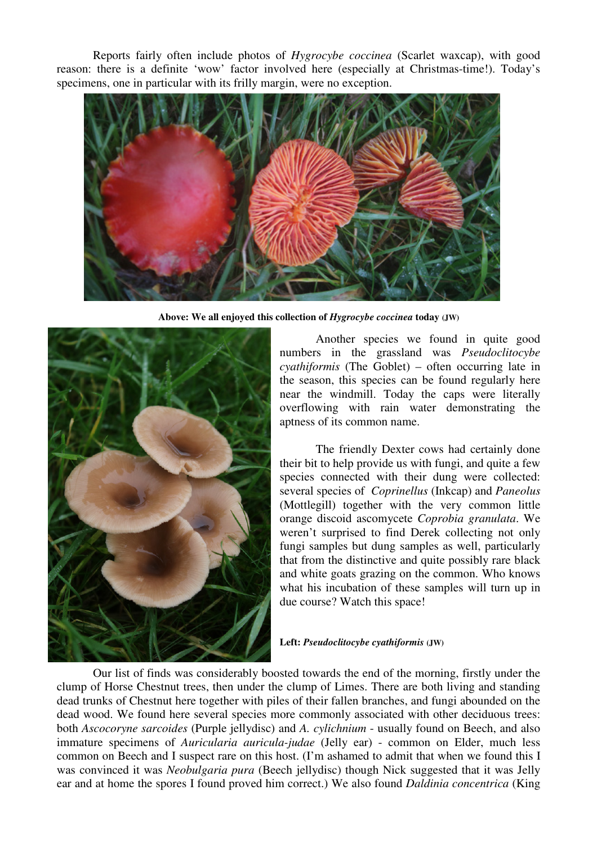Reports fairly often include photos of *Hygrocybe coccinea* (Scarlet waxcap), with good reason: there is a definite 'wow' factor involved here (especially at Christmas-time!). Today's specimens, one in particular with its frilly margin, were no exception.



 **Above: We all enjoyed this collection of** *Hygrocybe coccinea* **today (JW)** 



Another species we found in quite good numbers in the grassland was *Pseudoclitocybe cyathiformis* (The Goblet) – often occurring late in the season, this species can be found regularly here near the windmill. Today the caps were literally overflowing with rain water demonstrating the aptness of its common name.

The friendly Dexter cows had certainly done their bit to help provide us with fungi, and quite a few species connected with their dung were collected: several species of *Coprinellus* (Inkcap) and *Paneolus* (Mottlegill) together with the very common little orange discoid ascomycete *Coprobia granulata*. We weren't surprised to find Derek collecting not only fungi samples but dung samples as well, particularly that from the distinctive and quite possibly rare black and white goats grazing on the common. Who knows what his incubation of these samples will turn up in due course? Watch this space!

**Left:** *Pseudoclitocybe cyathiformis* **(JW)** 

 Our list of finds was considerably boosted towards the end of the morning, firstly under the clump of Horse Chestnut trees, then under the clump of Limes. There are both living and standing dead trunks of Chestnut here together with piles of their fallen branches, and fungi abounded on the dead wood. We found here several species more commonly associated with other deciduous trees: both *Ascocoryne sarcoides* (Purple jellydisc) and *A. cylichnium* - usually found on Beech, and also immature specimens of *Auricularia auricula-judae* (Jelly ear) - common on Elder, much less common on Beech and I suspect rare on this host. (I'm ashamed to admit that when we found this I was convinced it was *Neobulgaria pura* (Beech jellydisc) though Nick suggested that it was Jelly ear and at home the spores I found proved him correct.) We also found *Daldinia concentrica* (King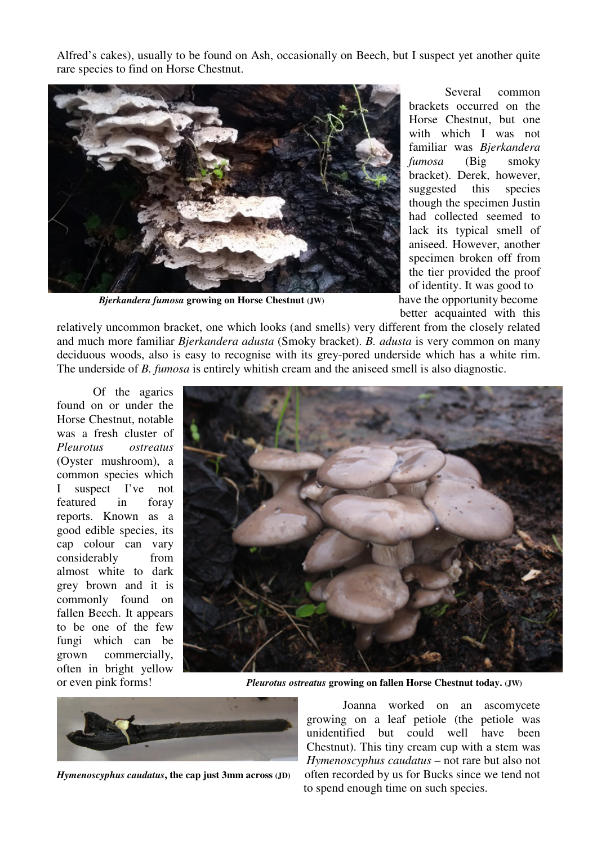Alfred's cakes), usually to be found on Ash, occasionally on Beech, but I suspect yet another quite rare species to find on Horse Chestnut.



**Bjerkandera fumosa growing on Horse Chestnut (JW) have the opportunity become** 

 Several common brackets occurred on the Horse Chestnut, but one with which I was not familiar was *Bjerkandera fumosa* (Big smoky bracket). Derek, however, suggested this species though the specimen Justin had collected seemed to lack its typical smell of aniseed. However, another specimen broken off from the tier provided the proof of identity. It was good to better acquainted with this

relatively uncommon bracket, one which looks (and smells) very different from the closely related and much more familiar *Bjerkandera adusta* (Smoky bracket). *B. adusta* is very common on many deciduous woods, also is easy to recognise with its grey-pored underside which has a white rim. The underside of *B. fumosa* is entirely whitish cream and the aniseed smell is also diagnostic.

 Of the agarics found on or under the Horse Chestnut, notable was a fresh cluster of *Pleurotus ostreatus* (Oyster mushroom), a common species which I suspect I've not featured in foray reports. Known as a good edible species, its cap colour can vary considerably from almost white to dark grey brown and it is commonly found on fallen Beech. It appears to be one of the few fungi which can be grown commercially, often in bright yellow



or even pink forms! *Pleurotus ostreatus* **growing on fallen Horse Chestnut today. (JW)** 



 Joanna worked on an ascomycete growing on a leaf petiole (the petiole was unidentified but could well have been Chestnut). This tiny cream cup with a stem was *Hymenoscyphus caudatus* – not rare but also not *Hymenoscyphus caudatus***, the cap just 3mm across (JD)** often recorded by us for Bucks since we tend not to spend enough time on such species.